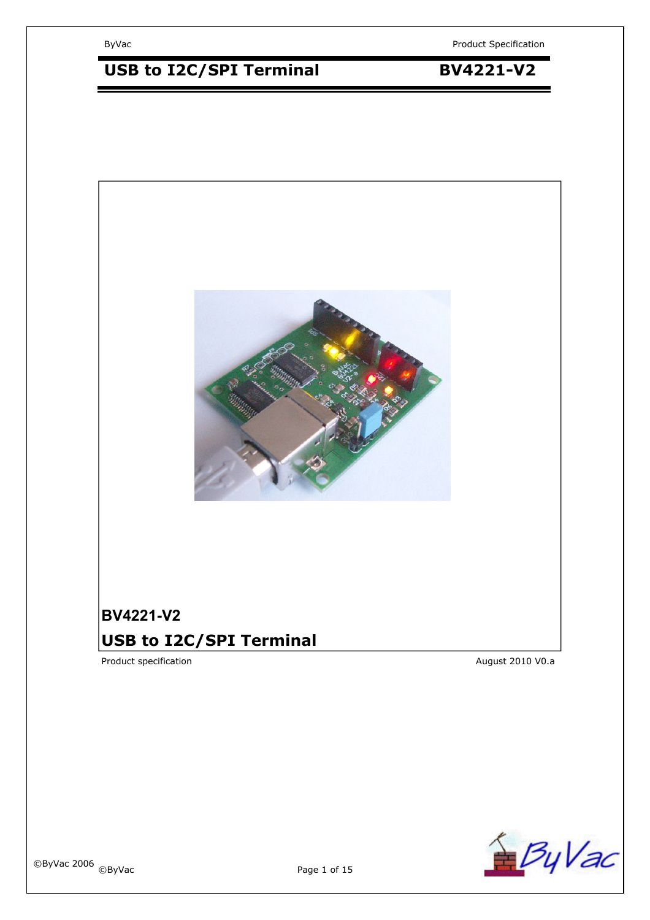# USB to I2C/SPI Terminal **BV4221-V2**



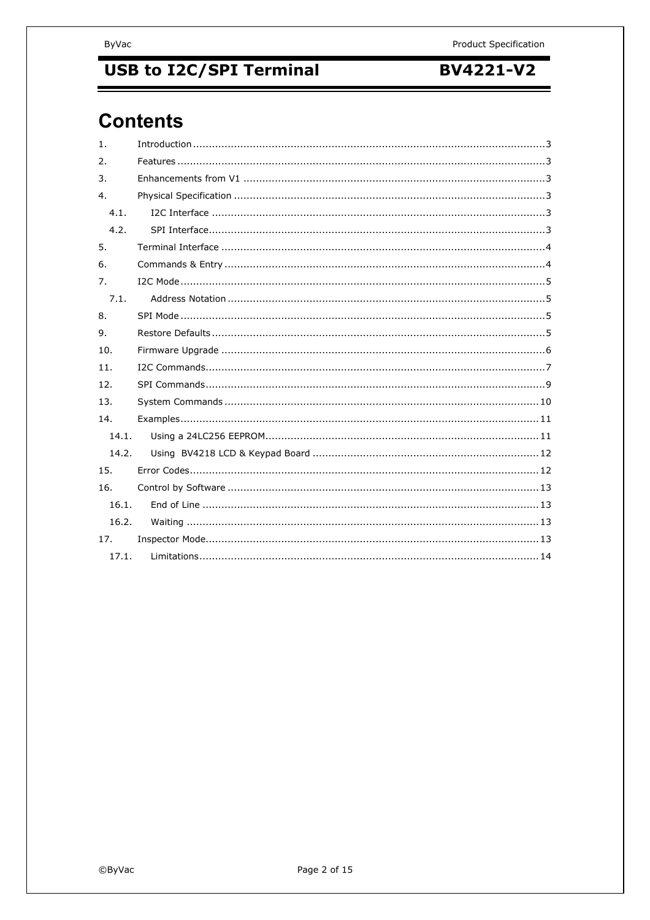# **USB to I2C/SPI Terminal**

## **BV4221-V2**

# **Contents**

| $\mathbf{1}$ . |  |  |  |
|----------------|--|--|--|
| 2.             |  |  |  |
| 3.             |  |  |  |
| 4.             |  |  |  |
| 4.1.           |  |  |  |
| 4.2.           |  |  |  |
| 5.             |  |  |  |
| 6.             |  |  |  |
| 7.             |  |  |  |
| 7.1.           |  |  |  |
| 8.             |  |  |  |
| $Q_{\perp}$    |  |  |  |
| 10.            |  |  |  |
| 11.            |  |  |  |
| 12.            |  |  |  |
| 13.            |  |  |  |
| 14.            |  |  |  |
| 14.1.          |  |  |  |
| 14.2.          |  |  |  |
| 15.            |  |  |  |
| 16.            |  |  |  |
| 16.1.          |  |  |  |
| 16.2.          |  |  |  |
| 17.            |  |  |  |
| 17.1.          |  |  |  |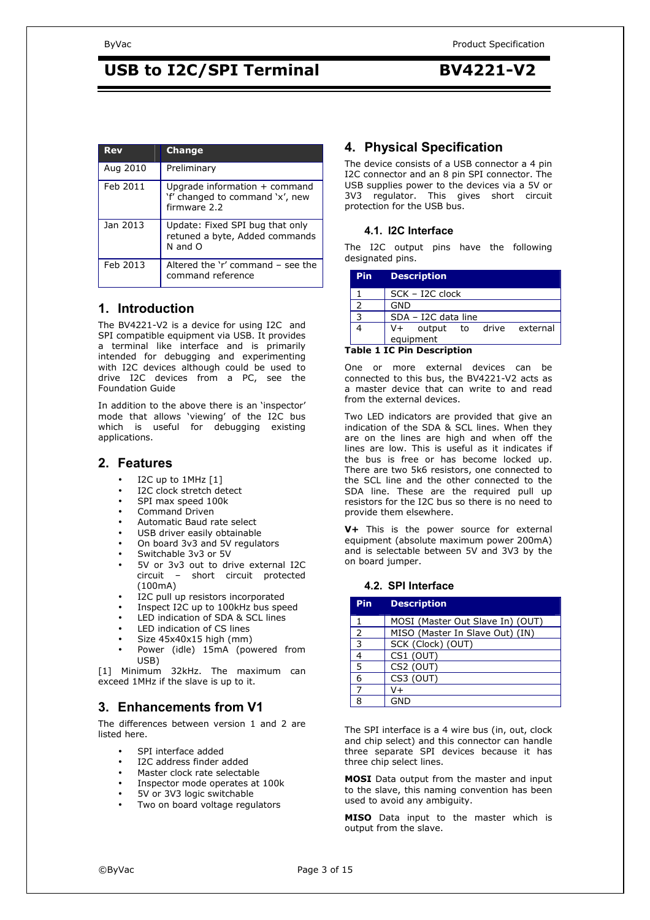| <b>Rev</b> | <b>Change</b>                                                                       |
|------------|-------------------------------------------------------------------------------------|
| Aug 2010   | Preliminary                                                                         |
| Feb 2011   | Upgrade information $+$ command<br>'f' changed to command 'x', new<br>firmware 2.2  |
| Jan 2013   | Update: Fixed SPI bug that only<br>retuned a byte, Added commands<br>N and $\Omega$ |
| Feb 2013   | Altered the 'r' command - see the<br>command reference                              |

## **1. Introduction**

The BV4221-V2 is a device for using I2C and SPI compatible equipment via USB. It provides a terminal like interface and is primarily intended for debugging and experimenting with I2C devices although could be used to drive I2C devices from a PC, see the Foundation Guide

In addition to the above there is an 'inspector' mode that allows 'viewing' of the I2C bus which is useful for debugging existing applications.

## **2. Features**

- I2C up to 1MHz [1]
- I2C clock stretch detect
- SPI max speed 100k
- Command Driven
- Automatic Baud rate select
- USB driver easily obtainable
- On board 3v3 and 5V regulators
- Switchable 3v3 or 5V
- 5V or 3v3 out to drive external I2C circuit – short circuit protected (100mA)
- I2C pull up resistors incorporated
- Inspect I2C up to 100kHz bus speed
- LED indication of SDA & SCL lines
- LED indication of CS lines
- Size 45x40x15 high (mm)
- Power (idle) 15mA (powered from USB)

[1] Minimum 32kHz. The maximum can exceed 1MHz if the slave is up to it.

## **3. Enhancements from V1**

The differences between version 1 and 2 are listed here.

- SPI interface added
- I2C address finder added
- Master clock rate selectable
- Inspector mode operates at 100k
- 5V or 3V3 logic switchable
- Two on board voltage regulators

## **4. Physical Specification**

The device consists of a USB connector a 4 pin I2C connector and an 8 pin SPI connector. The USB supplies power to the devices via a 5V or 3V3 regulator. This gives short circuit protection for the USB bus.

### **4.1. I2C Interface**

The I2C output pins have the following designated pins.

| <b>Pin</b> | <b>Description</b>                       |
|------------|------------------------------------------|
|            | SCK - I2C clock                          |
|            | GND                                      |
|            | SDA - I2C data line                      |
|            | V+ output to drive external<br>equipment |

### **Table 1 IC Pin Description**

One or more external devices can be connected to this bus, the BV4221-V2 acts as a master device that can write to and read from the external devices.

Two LED indicators are provided that give an indication of the SDA & SCL lines. When they are on the lines are high and when off the lines are low. This is useful as it indicates if the bus is free or has become locked up. There are two 5k6 resistors, one connected to the SCL line and the other connected to the SDA line. These are the required pull up resistors for the I2C bus so there is no need to provide them elsewhere.

**V+** This is the power source for external equipment (absolute maximum power 200mA) and is selectable between 5V and 3V3 by the on board jumper.

### **4.2. SPI Interface**

| Pin | <b>Description</b>               |
|-----|----------------------------------|
|     | MOSI (Master Out Slave In) (OUT) |
| 2   | MISO (Master In Slave Out) (IN)  |
| ર   | SCK (Clock) (OUT)                |
|     | CS1 (OUT)                        |
| 5   | CS2 (OUT)                        |
| 6   | CS3 (OUT)                        |
|     | V+                               |
| я   | GND                              |

The SPI interface is a 4 wire bus (in, out, clock and chip select) and this connector can handle three separate SPI devices because it has three chip select lines.

**MOSI** Data output from the master and input to the slave, this naming convention has been used to avoid any ambiguity.

**MISO** Data input to the master which is output from the slave.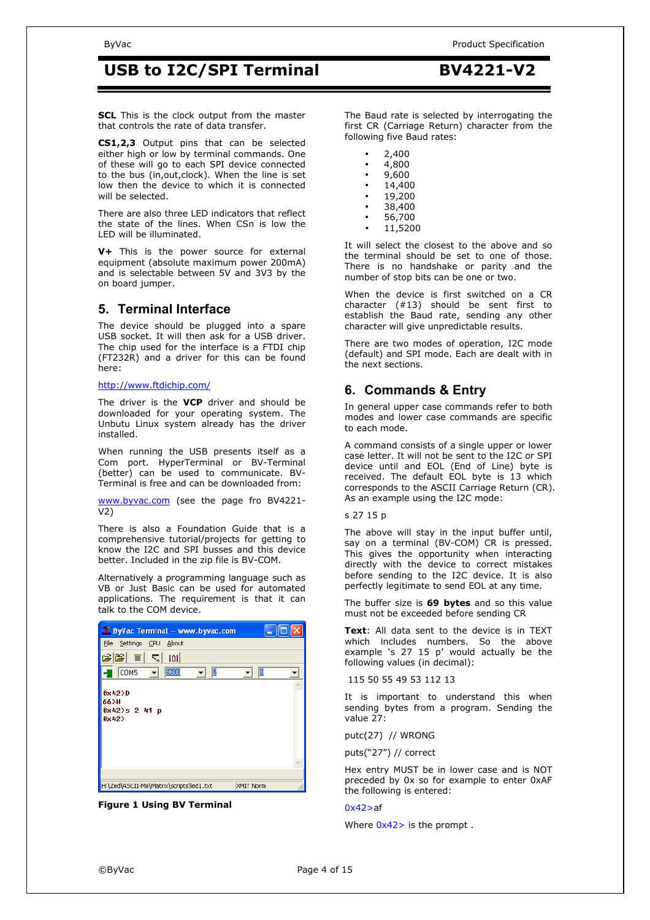**SCL** This is the clock output from the master that controls the rate of data transfer.

**CS1,2,3** Output pins that can be selected either high or low by terminal commands. One of these will go to each SPI device connected to the bus (in,out,clock). When the line is set low then the device to which it is connected will be selected.

There are also three LED indicators that reflect the state of the lines. When CSn is low the LED will be illuminated.

**V+** This is the power source for external equipment (absolute maximum power 200mA) and is selectable between 5V and 3V3 by the on board jumper.

## **5. Terminal Interface**

The device should be plugged into a spare USB socket. It will then ask for a USB driver. The chip used for the interface is a FTDI chip (FT232R) and a driver for this can be found here:

#### http://www.ftdichip.com/

The driver is the **VCP** driver and should be downloaded for your operating system. The Unbutu Linux system already has the driver installed.

When running the USB presents itself as a Com port. HyperTerminal or BV-Terminal (better) can be used to communicate. BV-Terminal is free and can be downloaded from:

www.byvac.com (see the page fro BV4221- V2)

There is also a Foundation Guide that is a comprehensive tutorial/projects for getting to know the I2C and SPI busses and this device better. Included in the zip file is BV-COM.

Alternatively a programming language such as VB or Just Basic can be used for automated applications. The requirement is that it can talk to the COM device.

| ByVac Terminal -- www.byvac.com                             |  |
|-------------------------------------------------------------|--|
| File<br>Settings CPU<br>About                               |  |
| الخالخا<br>$\equiv$<br>$\overline{\mathcal{L}}$<br>101      |  |
| 9600<br>B<br>12<br>COM5                                     |  |
| 0x42D<br>66>H<br>$0x42$ >s 2 41 p<br>0x42                   |  |
|                                                             |  |
|                                                             |  |
| H:\Zed\ASCII-Me\Matrix\scripts\led1.txt<br><b>XMIT Norm</b> |  |

**Figure 1 Using BV Terminal** 

The Baud rate is selected by interrogating the first CR (Carriage Return) character from the following five Baud rates:

• 2,400  $\cdot$  4,800 • 9,600 • 14,400 • 19,200 • 38,400 • 56,700 • 11,5200

It will select the closest to the above and so the terminal should be set to one of those. There is no handshake or parity and the number of stop bits can be one or two.

When the device is first switched on a CR character (#13) should be sent first to establish the Baud rate, sending any other character will give unpredictable results.

There are two modes of operation, I2C mode (default) and SPI mode. Each are dealt with in the next sections.

## **6. Commands & Entry**

In general upper case commands refer to both modes and lower case commands are specific to each mode.

A command consists of a single upper or lower case letter. It will not be sent to the I2C or SPI device until and EOL (End of Line) byte is received. The default EOL byte is 13 which corresponds to the ASCII Carriage Return (CR). As an example using the I2C mode:

s 27 15 p

The above will stay in the input buffer until, say on a terminal (BV-COM) CR is pressed. This gives the opportunity when interacting directly with the device to correct mistakes before sending to the I2C device. It is also perfectly legitimate to send EOL at any time.

The buffer size is **69 bytes** and so this value must not be exceeded before sending CR

**Text**: All data sent to the device is in TEXT which includes numbers. So the above example 's 27 15 p' would actually be the following values (in decimal):

115 50 55 49 53 112 13

It is important to understand this when sending bytes from a program. Sending the value 27:

putc(27) // WRONG

puts("27") // correct

Hex entry MUST be in lower case and is NOT preceded by 0x so for example to enter 0xAF the following is entered:

### 0x42>af

Where  $0x42$  is the prompt.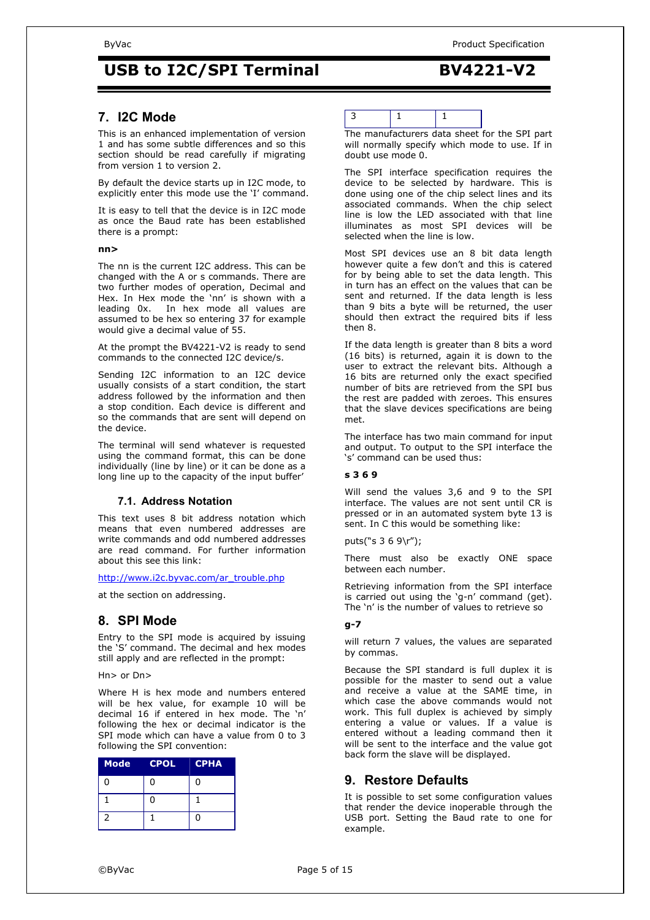## **7. I2C Mode**

This is an enhanced implementation of version 1 and has some subtle differences and so this section should be read carefully if migrating from version 1 to version 2.

By default the device starts up in I2C mode, to explicitly enter this mode use the 'I' command.

It is easy to tell that the device is in I2C mode as once the Baud rate has been established there is a prompt:

#### **nn>**

The nn is the current I2C address. This can be changed with the A or s commands. There are two further modes of operation, Decimal and Hex. In Hex mode the 'nn' is shown with a leading 0x. In hex mode all values are assumed to be hex so entering 37 for example would give a decimal value of 55.

At the prompt the BV4221-V2 is ready to send commands to the connected I2C device/s.

Sending I2C information to an I2C device usually consists of a start condition, the start address followed by the information and then a stop condition. Each device is different and so the commands that are sent will depend on the device.

The terminal will send whatever is requested using the command format, this can be done individually (line by line) or it can be done as a long line up to the capacity of the input buffer'

## **7.1. Address Notation**

This text uses 8 bit address notation which means that even numbered addresses are write commands and odd numbered addresses are read command. For further information about this see this link:

http://www.i2c.byvac.com/ar\_trouble.php

at the section on addressing.

## **8. SPI Mode**

Entry to the SPI mode is acquired by issuing the 'S' command. The decimal and hex modes still apply and are reflected in the prompt:

Hn> or Dn>

Where H is hex mode and numbers entered will be hex value, for example 10 will be decimal 16 if entered in hex mode. The 'n' following the hex or decimal indicator is the SPI mode which can have a value from 0 to 3 following the SPI convention:

| <b>Mode</b>              | <b>CPOL</b> | <b>CPHA</b> |
|--------------------------|-------------|-------------|
| 0                        | ი           | 0           |
|                          | ი           |             |
| $\overline{\phantom{a}}$ |             | U           |

The manufacturers data sheet for the SPI part will normally specify which mode to use. If in doubt use mode 0.

The SPI interface specification requires the device to be selected by hardware. This is done using one of the chip select lines and its associated commands. When the chip select line is low the LED associated with that line illuminates as most SPI devices will be selected when the line is low.

Most SPI devices use an 8 bit data length however quite a few don't and this is catered for by being able to set the data length. This in turn has an effect on the values that can be sent and returned. If the data length is less than 9 bits a byte will be returned, the user should then extract the required bits if less then 8.

If the data length is greater than 8 bits a word (16 bits) is returned, again it is down to the user to extract the relevant bits. Although a 16 bits are returned only the exact specified number of bits are retrieved from the SPI bus the rest are padded with zeroes. This ensures that the slave devices specifications are being met.

The interface has two main command for input and output. To output to the SPI interface the 's' command can be used thus:

## **s 3 6 9**

Will send the values 3,6 and 9 to the SPI interface. The values are not sent until CR is pressed or in an automated system byte 13 is sent. In C this would be something like:

puts("s 3 6 9\r");

There must also be exactly ONE space between each number.

Retrieving information from the SPI interface is carried out using the 'g-n' command (get). The 'n' is the number of values to retrieve so

### **g-7**

will return 7 values, the values are separated by commas.

Because the SPI standard is full duplex it is possible for the master to send out a value and receive a value at the SAME time, in which case the above commands would not work. This full duplex is achieved by simply entering a value or values. If a value is entered without a leading command then it will be sent to the interface and the value got back form the slave will be displayed.

## **9. Restore Defaults**

It is possible to set some configuration values that render the device inoperable through the USB port. Setting the Baud rate to one for example.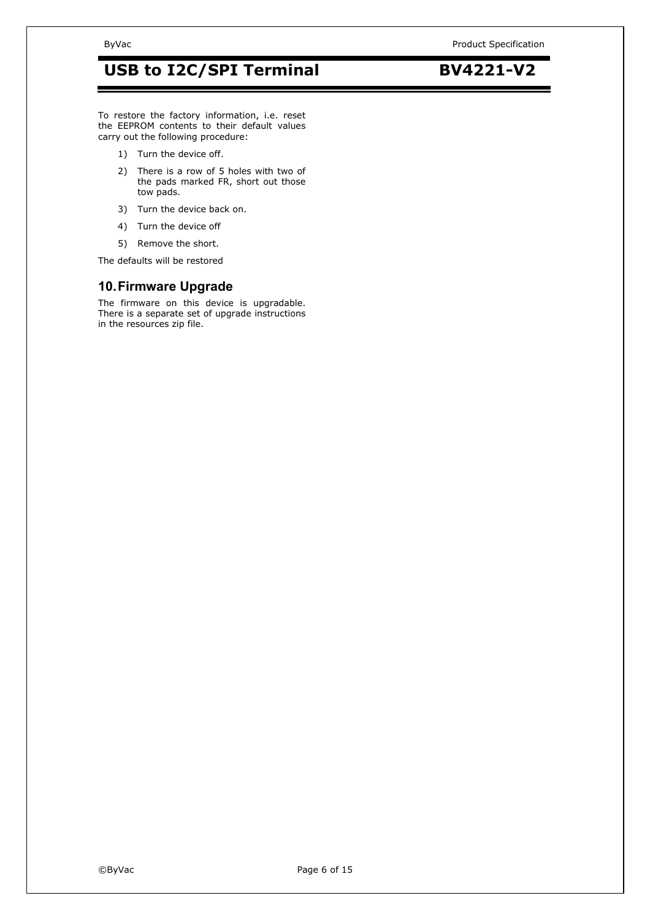#### To restore the factory information, i.e. reset the EEPROM contents to their default values carry out the following procedure:

- 1) Turn the device off.
- 2) There is a row of 5 holes with two of the pads marked FR, short out those tow pads.
- 3) Turn the device back on.
- 4) Turn the device off
- 5) Remove the short.

The defaults will be restored

## **10. Firmware Upgrade**

The firmware on this device is upgradable. There is a separate set of upgrade instructions in the resources zip file.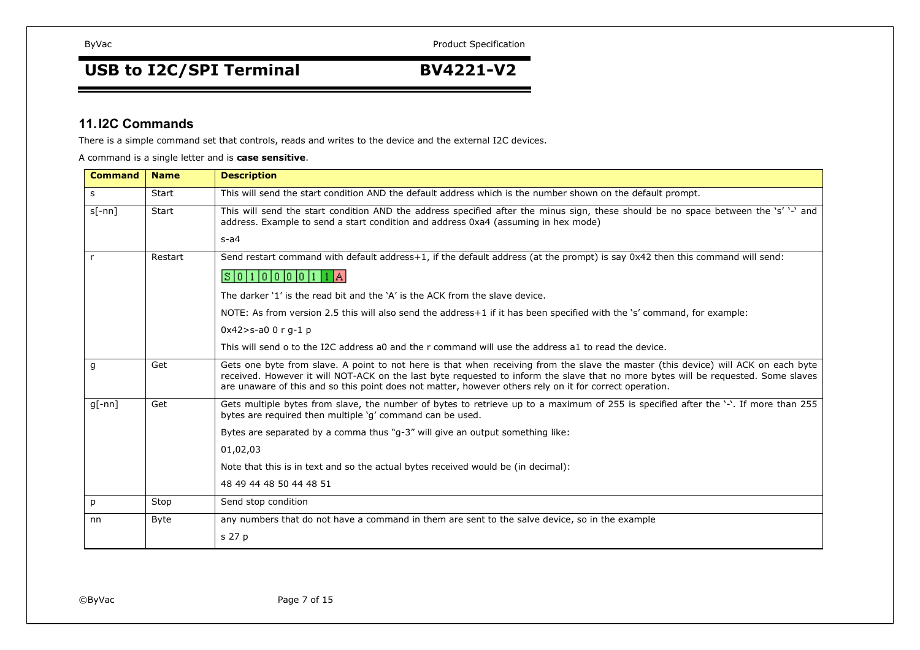## **USB to I2C/SPI Terminal BV4221-V2**

## **11.I2C Commands**

There is a simple command set that controls, reads and writes to the device and the external I2C devices.

A command is <sup>a</sup> single letter and is **case sensitive**.

| <b>Command</b> | <b>Name</b> | <b>Description</b>                                                                                                                                                                                                                                                                                                                                                                  |
|----------------|-------------|-------------------------------------------------------------------------------------------------------------------------------------------------------------------------------------------------------------------------------------------------------------------------------------------------------------------------------------------------------------------------------------|
| S.             | Start       | This will send the start condition AND the default address which is the number shown on the default prompt.                                                                                                                                                                                                                                                                         |
| $s[-nn]$       | Start       | This will send the start condition AND the address specified after the minus sign, these should be no space between the 's' '-' and<br>address. Example to send a start condition and address 0xa4 (assuming in hex mode)                                                                                                                                                           |
|                |             | $s-a4$                                                                                                                                                                                                                                                                                                                                                                              |
| $\mathsf{r}$   | Restart     | Send restart command with default address+1, if the default address (at the prompt) is say 0x42 then this command will send:                                                                                                                                                                                                                                                        |
|                |             | S   0   1   0   0   0   0   1   1   A                                                                                                                                                                                                                                                                                                                                               |
|                |             | The darker '1' is the read bit and the 'A' is the ACK from the slave device.                                                                                                                                                                                                                                                                                                        |
|                |             | NOTE: As from version 2.5 this will also send the address+1 if it has been specified with the 's' command, for example:                                                                                                                                                                                                                                                             |
|                |             | $0x42 > s-a00rq-1$                                                                                                                                                                                                                                                                                                                                                                  |
|                |             | This will send o to the I2C address a0 and the r command will use the address a1 to read the device.                                                                                                                                                                                                                                                                                |
| g              | Get         | Gets one byte from slave. A point to not here is that when receiving from the slave the master (this device) will ACK on each byte<br>received. However it will NOT-ACK on the last byte requested to inform the slave that no more bytes will be requested. Some slaves<br>are unaware of this and so this point does not matter, however others rely on it for correct operation. |
| $q[-nn]$       | Get         | Gets multiple bytes from slave, the number of bytes to retrieve up to a maximum of 255 is specified after the '-'. If more than 255<br>bytes are required then multiple 'q' command can be used.                                                                                                                                                                                    |
|                |             | Bytes are separated by a comma thus "q-3" will give an output something like:                                                                                                                                                                                                                                                                                                       |
|                |             | 01,02,03                                                                                                                                                                                                                                                                                                                                                                            |
|                |             | Note that this is in text and so the actual bytes received would be (in decimal):                                                                                                                                                                                                                                                                                                   |
|                |             | 48 49 44 48 50 44 48 51                                                                                                                                                                                                                                                                                                                                                             |
| p              | Stop        | Send stop condition                                                                                                                                                                                                                                                                                                                                                                 |
| nn             | <b>Byte</b> | any numbers that do not have a command in them are sent to the salve device, so in the example                                                                                                                                                                                                                                                                                      |
|                |             | s 27 p                                                                                                                                                                                                                                                                                                                                                                              |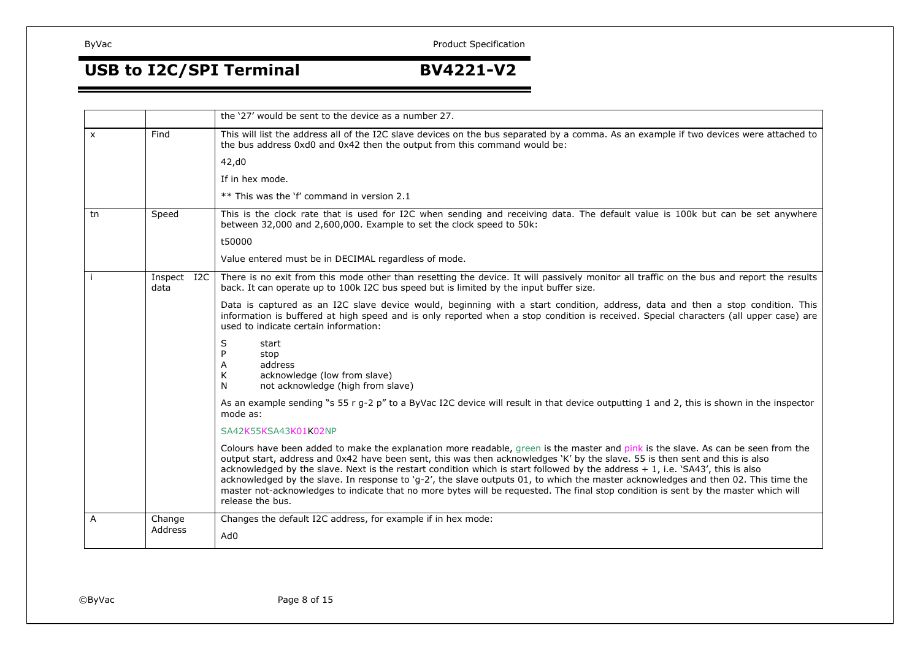## **USB to I2C/SPI Terminal BV4221-V2**

|    |                     | the '27' would be sent to the device as a number 27.                                                                                                                                                                                                                                                                                                                                                                                                                                                                                                                                                                                                                                                 |
|----|---------------------|------------------------------------------------------------------------------------------------------------------------------------------------------------------------------------------------------------------------------------------------------------------------------------------------------------------------------------------------------------------------------------------------------------------------------------------------------------------------------------------------------------------------------------------------------------------------------------------------------------------------------------------------------------------------------------------------------|
| X  | Find                | This will list the address all of the I2C slave devices on the bus separated by a comma. As an example if two devices were attached to<br>the bus address 0xd0 and 0x42 then the output from this command would be:                                                                                                                                                                                                                                                                                                                                                                                                                                                                                  |
|    |                     | 42,d0                                                                                                                                                                                                                                                                                                                                                                                                                                                                                                                                                                                                                                                                                                |
|    |                     | If in hex mode.                                                                                                                                                                                                                                                                                                                                                                                                                                                                                                                                                                                                                                                                                      |
|    |                     | ** This was the 'f' command in version 2.1                                                                                                                                                                                                                                                                                                                                                                                                                                                                                                                                                                                                                                                           |
| tn | Speed               | This is the clock rate that is used for I2C when sending and receiving data. The default value is 100k but can be set anywhere<br>between 32,000 and 2,600,000. Example to set the clock speed to 50k:                                                                                                                                                                                                                                                                                                                                                                                                                                                                                               |
|    |                     | t50000                                                                                                                                                                                                                                                                                                                                                                                                                                                                                                                                                                                                                                                                                               |
|    |                     | Value entered must be in DECIMAL regardless of mode.                                                                                                                                                                                                                                                                                                                                                                                                                                                                                                                                                                                                                                                 |
|    | Inspect I2C<br>data | There is no exit from this mode other than resetting the device. It will passively monitor all traffic on the bus and report the results<br>back. It can operate up to 100k I2C bus speed but is limited by the input buffer size.                                                                                                                                                                                                                                                                                                                                                                                                                                                                   |
|    |                     | Data is captured as an I2C slave device would, beginning with a start condition, address, data and then a stop condition. This<br>information is buffered at high speed and is only reported when a stop condition is received. Special characters (all upper case) are<br>used to indicate certain information:                                                                                                                                                                                                                                                                                                                                                                                     |
|    |                     | S<br>start<br>stop<br>address<br>A<br>K<br>acknowledge (low from slave)<br>not acknowledge (high from slave)<br>N                                                                                                                                                                                                                                                                                                                                                                                                                                                                                                                                                                                    |
|    |                     | As an example sending "s 55 r g-2 p" to a ByVac I2C device will result in that device outputting 1 and 2, this is shown in the inspector<br>mode as:                                                                                                                                                                                                                                                                                                                                                                                                                                                                                                                                                 |
|    |                     | SA42K55KSA43K01K02NP                                                                                                                                                                                                                                                                                                                                                                                                                                                                                                                                                                                                                                                                                 |
|    |                     | Colours have been added to make the explanation more readable, green is the master and pink is the slave. As can be seen from the<br>output start, address and 0x42 have been sent, this was then acknowledges 'K' by the slave. 55 is then sent and this is also<br>acknowledged by the slave. Next is the restart condition which is start followed by the address + 1, i.e. 'SA43', this is also<br>acknowledged by the slave. In response to 'g-2', the slave outputs 01, to which the master acknowledges and then 02. This time the<br>master not-acknowledges to indicate that no more bytes will be requested. The final stop condition is sent by the master which will<br>release the bus. |
| A  | Change              | Changes the default I2C address, for example if in hex mode:                                                                                                                                                                                                                                                                                                                                                                                                                                                                                                                                                                                                                                         |
|    | Address             | Ad0                                                                                                                                                                                                                                                                                                                                                                                                                                                                                                                                                                                                                                                                                                  |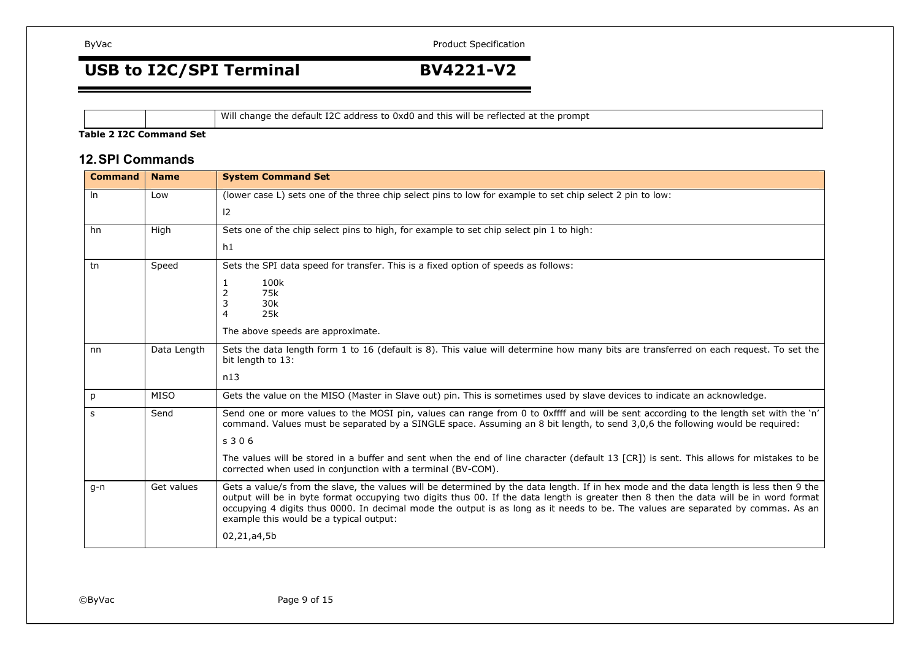## **USB to I2C/SPI Terminal BV4221-V2**

Will change the default I2C address to 0xd0 and this will be reflected at the prompt

#### **Table 2 I2C Command Set**

## **12.SPI Commands**

| <b>Command</b> | <b>Name</b> | <b>System Command Set</b>                                                                                                                                                                                                                                                                                                                                                                                                                                      |
|----------------|-------------|----------------------------------------------------------------------------------------------------------------------------------------------------------------------------------------------------------------------------------------------------------------------------------------------------------------------------------------------------------------------------------------------------------------------------------------------------------------|
| $\ln$          | Low         | (lower case L) sets one of the three chip select pins to low for example to set chip select 2 pin to low:                                                                                                                                                                                                                                                                                                                                                      |
|                |             | $ 2\rangle$                                                                                                                                                                                                                                                                                                                                                                                                                                                    |
| hn             | High        | Sets one of the chip select pins to high, for example to set chip select pin 1 to high:                                                                                                                                                                                                                                                                                                                                                                        |
|                |             | h1                                                                                                                                                                                                                                                                                                                                                                                                                                                             |
| tn             | Speed       | Sets the SPI data speed for transfer. This is a fixed option of speeds as follows:                                                                                                                                                                                                                                                                                                                                                                             |
|                |             | 100k<br>1                                                                                                                                                                                                                                                                                                                                                                                                                                                      |
|                |             | 75k<br>2<br>30k<br>3                                                                                                                                                                                                                                                                                                                                                                                                                                           |
|                |             | 25k<br>4                                                                                                                                                                                                                                                                                                                                                                                                                                                       |
|                |             | The above speeds are approximate.                                                                                                                                                                                                                                                                                                                                                                                                                              |
| nn             | Data Length | Sets the data length form 1 to 16 (default is 8). This value will determine how many bits are transferred on each request. To set the<br>bit length to 13:                                                                                                                                                                                                                                                                                                     |
|                |             | n13                                                                                                                                                                                                                                                                                                                                                                                                                                                            |
| p              | <b>MISO</b> | Gets the value on the MISO (Master in Slave out) pin. This is sometimes used by slave devices to indicate an acknowledge.                                                                                                                                                                                                                                                                                                                                      |
| S              | Send        | Send one or more values to the MOSI pin, values can range from 0 to 0xffff and will be sent according to the length set with the 'n'<br>command. Values must be separated by a SINGLE space. Assuming an 8 bit length, to send 3,0,6 the following would be required:                                                                                                                                                                                          |
|                |             | s <sub>306</sub>                                                                                                                                                                                                                                                                                                                                                                                                                                               |
|                |             | The values will be stored in a buffer and sent when the end of line character (default 13 [CR]) is sent. This allows for mistakes to be<br>corrected when used in conjunction with a terminal (BV-COM).                                                                                                                                                                                                                                                        |
| $q-n$          | Get values  | Gets a value/s from the slave, the values will be determined by the data length. If in hex mode and the data length is less then 9 the<br>output will be in byte format occupying two digits thus 00. If the data length is greater then 8 then the data will be in word format<br>occupying 4 digits thus 0000. In decimal mode the output is as long as it needs to be. The values are separated by commas. As an<br>example this would be a typical output: |
|                |             | 02,21,a4,5b                                                                                                                                                                                                                                                                                                                                                                                                                                                    |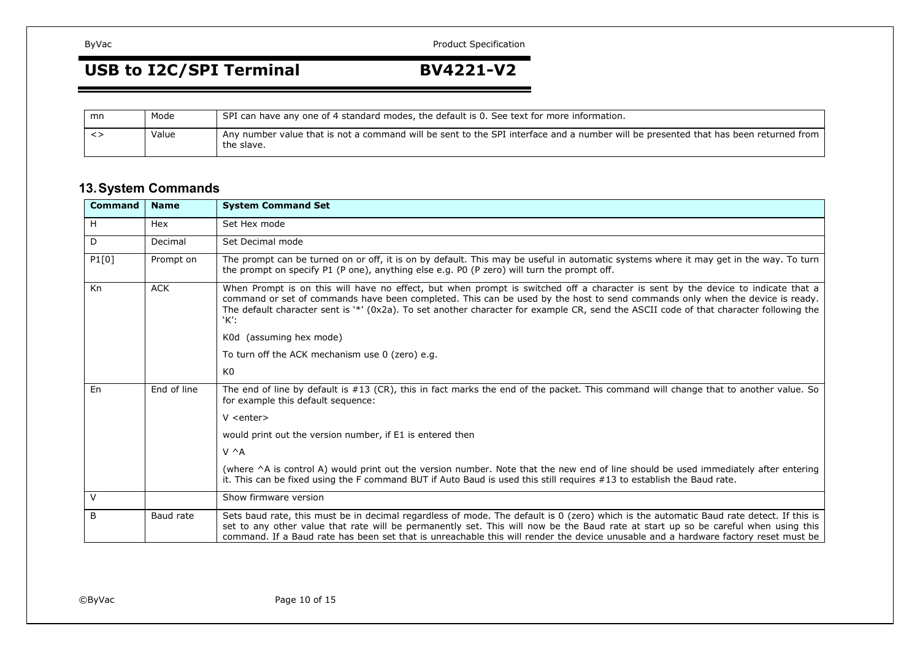## **USB to I2C/SPI Terminal BV4221-V2**

| mn    | Mode  | SPI can have any one of 4 standard modes, the default is 0. See text for more information.                                                        |
|-------|-------|---------------------------------------------------------------------------------------------------------------------------------------------------|
| - < > | Value | Any number value that is not a command will be sent to the SPI interface and a number will be presented that has been returned from<br>the slave. |

## **13.System Commands**

| <b>Command</b> | <b>Name</b> | <b>System Command Set</b>                                                                                                                                                                                                                                                                                                                                                                                           |
|----------------|-------------|---------------------------------------------------------------------------------------------------------------------------------------------------------------------------------------------------------------------------------------------------------------------------------------------------------------------------------------------------------------------------------------------------------------------|
| H              | Hex         | Set Hex mode                                                                                                                                                                                                                                                                                                                                                                                                        |
| D              | Decimal     | Set Decimal mode                                                                                                                                                                                                                                                                                                                                                                                                    |
| P1[0]          | Prompt on   | The prompt can be turned on or off, it is on by default. This may be useful in automatic systems where it may get in the way. To turn<br>the prompt on specify P1 (P one), anything else e.g. P0 (P zero) will turn the prompt off.                                                                                                                                                                                 |
| Kn             | <b>ACK</b>  | When Prompt is on this will have no effect, but when prompt is switched off a character is sent by the device to indicate that a<br>command or set of commands have been completed. This can be used by the host to send commands only when the device is ready.<br>The default character sent is '*' (0x2a). To set another character for example CR, send the ASCII code of that character following the<br>`K':  |
|                |             | K0d (assuming hex mode)                                                                                                                                                                                                                                                                                                                                                                                             |
|                |             | To turn off the ACK mechanism use 0 (zero) e.g.                                                                                                                                                                                                                                                                                                                                                                     |
|                |             | K <sub>0</sub>                                                                                                                                                                                                                                                                                                                                                                                                      |
| En             | End of line | The end of line by default is #13 (CR), this in fact marks the end of the packet. This command will change that to another value. So<br>for example this default sequence:                                                                                                                                                                                                                                          |
|                |             | $V$ <enter></enter>                                                                                                                                                                                                                                                                                                                                                                                                 |
|                |             | would print out the version number, if E1 is entered then                                                                                                                                                                                                                                                                                                                                                           |
|                |             | $V \wedge A$                                                                                                                                                                                                                                                                                                                                                                                                        |
|                |             | (where ^A is control A) would print out the version number. Note that the new end of line should be used immediately after entering<br>it. This can be fixed using the F command BUT if Auto Baud is used this still requires #13 to establish the Baud rate.                                                                                                                                                       |
| $\vee$         |             | Show firmware version                                                                                                                                                                                                                                                                                                                                                                                               |
| B              | Baud rate   | Sets baud rate, this must be in decimal regardless of mode. The default is 0 (zero) which is the automatic Baud rate detect. If this is<br>set to any other value that rate will be permanently set. This will now be the Baud rate at start up so be careful when using this<br>command. If a Baud rate has been set that is unreachable this will render the device unusable and a hardware factory reset must be |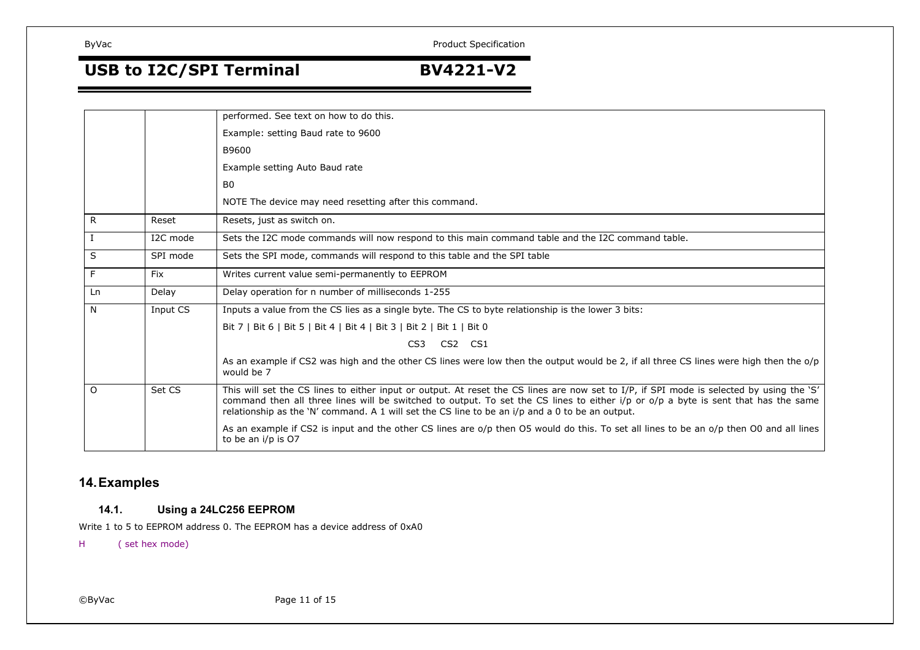## **USB to I2C/SPI Terminal BV4221-V2**

|          |            | performed. See text on how to do this.                                                                                                                                                                                                                                                                                                                                            |
|----------|------------|-----------------------------------------------------------------------------------------------------------------------------------------------------------------------------------------------------------------------------------------------------------------------------------------------------------------------------------------------------------------------------------|
|          |            | Example: setting Baud rate to 9600                                                                                                                                                                                                                                                                                                                                                |
|          |            | B9600                                                                                                                                                                                                                                                                                                                                                                             |
|          |            | Example setting Auto Baud rate                                                                                                                                                                                                                                                                                                                                                    |
|          |            | B <sub>0</sub>                                                                                                                                                                                                                                                                                                                                                                    |
|          |            | NOTE The device may need resetting after this command.                                                                                                                                                                                                                                                                                                                            |
| R.       | Reset      | Resets, just as switch on.                                                                                                                                                                                                                                                                                                                                                        |
|          | I2C mode   | Sets the I2C mode commands will now respond to this main command table and the I2C command table.                                                                                                                                                                                                                                                                                 |
| S        | SPI mode   | Sets the SPI mode, commands will respond to this table and the SPI table                                                                                                                                                                                                                                                                                                          |
| F.       | <b>Fix</b> | Writes current value semi-permanently to EEPROM                                                                                                                                                                                                                                                                                                                                   |
| Ln       | Delay      | Delay operation for n number of milliseconds 1-255                                                                                                                                                                                                                                                                                                                                |
| N        | Input CS   | Inputs a value from the CS lies as a single byte. The CS to byte relationship is the lower 3 bits:                                                                                                                                                                                                                                                                                |
|          |            | Bit 7   Bit 6   Bit 5   Bit 4   Bit 4   Bit 3   Bit 2   Bit 1   Bit 0                                                                                                                                                                                                                                                                                                             |
|          |            | CS3 CS2 CS1                                                                                                                                                                                                                                                                                                                                                                       |
|          |            | As an example if CS2 was high and the other CS lines were low then the output would be 2, if all three CS lines were high then the o/p<br>would be 7                                                                                                                                                                                                                              |
| $\Omega$ | Set CS     | This will set the CS lines to either input or output. At reset the CS lines are now set to I/P, if SPI mode is selected by using the 'S'<br>command then all three lines will be switched to output. To set the CS lines to either i/p or o/p a byte is sent that has the same<br>relationship as the 'N' command. A 1 will set the CS line to be an i/p and a 0 to be an output. |
|          |            | As an example if CS2 is input and the other CS lines are o/p then O5 would do this. To set all lines to be an o/p then O0 and all lines<br>to be an i/p is O7                                                                                                                                                                                                                     |

## **14.Examples**

#### **14.1.Using <sup>a</sup> 24LC256 EEPROM**

Write 1 to 5 to EEPROM address 0. The EEPROM has <sup>a</sup> device address of 0xA0

H( set hex mode)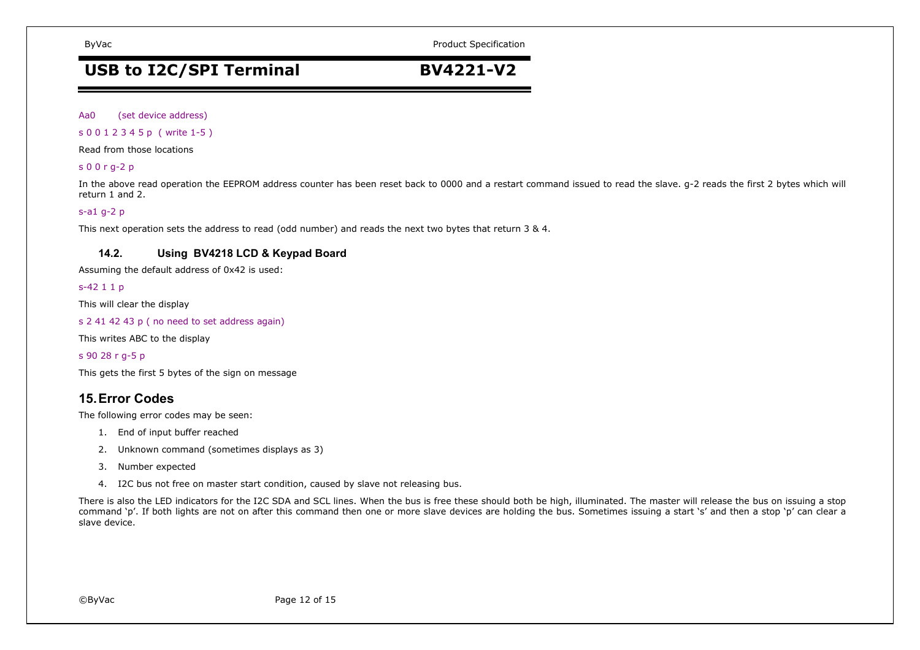ByVac **Product Specification** ByVac **Product Specification** 

## **USB to I2C/SPI Terminal BV4221-V2**

Aa0(set device address)

s 0 0 1 2 3 4 5 p ( write 1-5 )

Read from those locations

## s 0 0 <sup>r</sup> g-2 p

In the above read operation the EEPROM address counter has been reset back to 0000 and <sup>a</sup> restart command issued to read the slave. g-2 reads the first 2 bytes which will return 1 and 2.

## s-a1 g-2 p

This next operation sets the address to read (odd number) and reads the next two bytes that return 3 & 4.

#### **14.2.Using BV4218 LCD & Keypad Board**

Assuming the default address of 0x42 is used:

## s-42 1 1 p

This will clear the display

s 2 41 42 43 p ( no need to set address again)

This writes ABC to the display

s 90 28 <sup>r</sup> g-5 p

This gets the first 5 bytes of the sign on message

## **15.Error Codes**

The following error codes may be seen:

- 1. End of input buffer reached
- 2. Unknown command (sometimes displays as 3)
- 3. Number expected
- 4. I2C bus not free on master start condition, caused by slave not releasing bus.

There is also the LED indicators for the I2C SDA and SCL lines. When the bus is free these should both be high, illuminated. The master will release the bus on issuing <sup>a</sup> stop command 'p'. If both lights are not on after this command then one or more slave devices are holding the bus. Sometimes issuing <sup>a</sup> start 's' and then <sup>a</sup> stop 'p' can clear <sup>a</sup> slave device.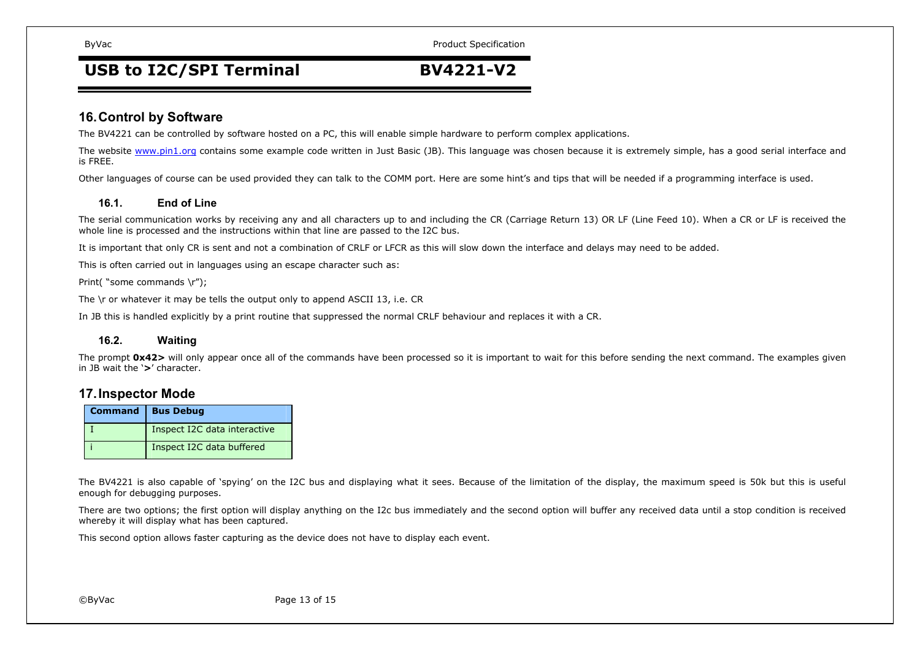ByVac **Product Specification** ByVac **Product Specification** 

## **USB to I2C/SPI Terminal BV4221-V2**

## **16.Control by Software**

The BV4221 can be controlled by software hosted on <sup>a</sup> PC, this will enable simple hardware to perform complex applications.

The website www.pin1.org contains some example code written in Just Basic (JB). This language was chosen because it is extremely simple, has a good serial interface and is FREE.

Other languages of course can be used provided they can talk to the COMM port. Here are some hint's and tips that will be needed if <sup>a</sup> programming interface is used.

#### **16.1.End of Line**

The serial communication works by receiving any and all characters up to and including the CR (Carriage Return 13) OR LF (Line Feed 10). When <sup>a</sup> CR or LF is received the whole line is processed and the instructions within that line are passed to the I2C bus.

It is important that only CR is sent and not <sup>a</sup> combination of CRLF or LFCR as this will slow down the interface and delays may need to be added.

This is often carried out in languages using an escape character such as:

Print( "some commands \r");

The \r or whatever it may be tells the output only to append ASCII 13, i.e. CR

In JB this is handled explicitly by <sup>a</sup> print routine that suppressed the normal CRLF behaviour and replaces it with <sup>a</sup> CR.

#### **16.2.Waiting**

The prompt **0x42>** will only appear once all of the commands have been processed so it is important to wait for this before sending the next command. The examples given in JB wait the '**>**' character.

## **17.Inspector Mode**

| <b>Command   Bus Debug</b>   |
|------------------------------|
| Inspect I2C data interactive |
| Inspect I2C data buffered    |

The BV4221 is also capable of 'spying' on the I2C bus and displaying what it sees. Because of the limitation of the display, the maximum speed is 50k but this is useful enough for debugging purposes.

There are two options; the first option will display anything on the I2c bus immediately and the second option will buffer any received data until <sup>a</sup> stop condition is received whereby it will display what has been captured.

This second option allows faster capturing as the device does not have to display each event.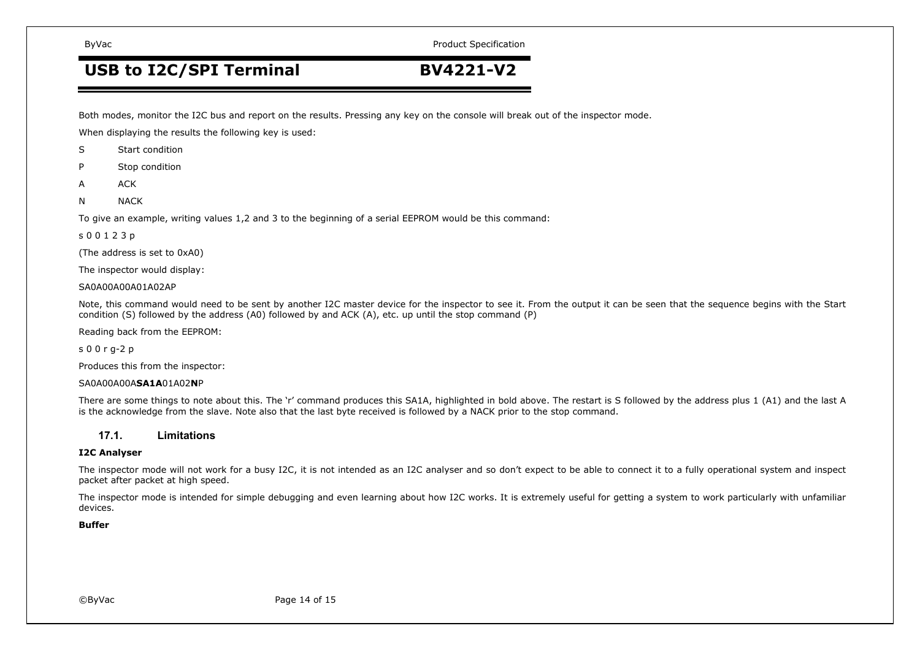ByVac **Product Specification** ByVac **Product Specification** 

## **USB to I2C/SPI Terminal BV4221-V2**

Both modes, monitor the I2C bus and report on the results. Pressing any key on the console will break out of the inspector mode.

When displaying the results the following key is used:

- SStart condition
- PStop condition
- AACK
- NNACK

To give an example, writing values 1,2 and 3 to the beginning of <sup>a</sup> serial EEPROM would be this command:

#### s 0 0 1 2 3 p

(The address is set to 0xA0)

The inspector would display:

SA0A00A00A01A02AP

Note, this command would need to be sent by another I2C master device for the inspector to see it. From the output it can be seen that the sequence begins with the Start condition (S) followed by the address (A0) followed by and ACK (A), etc. up until the stop command (P)

Reading back from the EEPROM:

s 0 0 <sup>r</sup> g-2 p

Produces this from the inspector:

#### SA0A00A00A**SA1A**01A02**N**P

There are some things to note about this. The 'r' command produces this SA1A, highlighted in bold above. The restart is S followed by the address plus 1 (A1) and the last A is the acknowledge from the slave. Note also that the last byte received is followed by <sup>a</sup> NACK prior to the stop command.

#### **17.1.Limitations**

#### **I2C Analyser**

The inspector mode will not work for <sup>a</sup> busy I2C, it is not intended as an I2C analyser and so don't expect to be able to connect it to <sup>a</sup> fully operational system and inspect packet after packet at high speed.

The inspector mode is intended for simple debugging and even learning about how I2C works. It is extremely useful for getting <sup>a</sup> system to work particularly with unfamiliar devices.

### **Buffer**